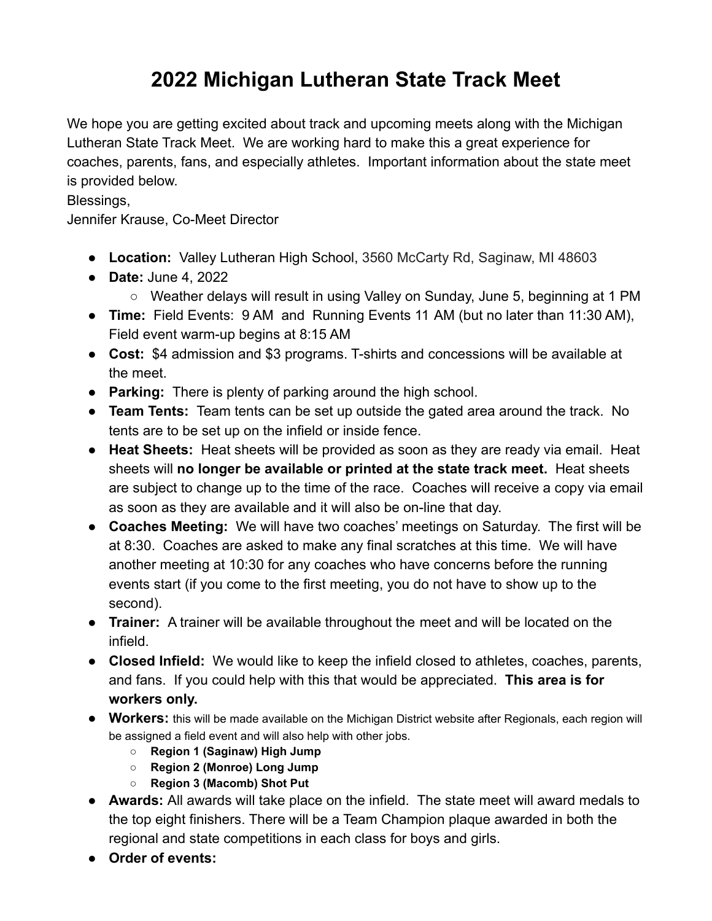## **2022 Michigan Lutheran State Track Meet**

We hope you are getting excited about track and upcoming meets along with the Michigan Lutheran State Track Meet. We are working hard to make this a great experience for coaches, parents, fans, and especially athletes. Important information about the state meet is provided below.

Blessings,

Jennifer Krause, Co-Meet Director

- **Location:** Valley Lutheran High School, 3560 McCarty Rd, Saginaw, MI 48603
- **● Date:** June 4, 2022
	- Weather delays will result in using Valley on Sunday, June 5, beginning at 1 PM
- **Time:** Field Events: 9 AM and Running Events 11 AM (but no later than 11:30 AM), Field event warm-up begins at 8:15 AM
- **● Cost:** \$4 admission and \$3 programs. T-shirts and concessions will be available at the meet.
- **Parking:** There is plenty of parking around the high school.
- **Team Tents:** Team tents can be set up outside the gated area around the track. No tents are to be set up on the infield or inside fence.
- **Heat Sheets:** Heat sheets will be provided as soon as they are ready via email. Heat sheets will **no longer be available or printed at the state track meet.** Heat sheets are subject to change up to the time of the race. Coaches will receive a copy via email as soon as they are available and it will also be on-line that day.
- **Coaches Meeting:** We will have two coaches' meetings on Saturday. The first will be at 8:30. Coaches are asked to make any final scratches at this time. We will have another meeting at 10:30 for any coaches who have concerns before the running events start (if you come to the first meeting, you do not have to show up to the second).
- **Trainer:** A trainer will be available throughout the meet and will be located on the infield.
- **Closed Infield:** We would like to keep the infield closed to athletes, coaches, parents, and fans. If you could help with this that would be appreciated. **This area is for workers only.**
- **● Workers:** this will be made available on the Michigan District website after Regionals, each region will be assigned a field event and will also help with other jobs.
	- **○ Region 1 (Saginaw) High Jump**
	- **○ Region 2 (Monroe) Long Jump**
	- **○ Region 3 (Macomb) Shot Put**
- **● Awards:** All awards will take place on the infield. The state meet will award medals to the top eight finishers. There will be a Team Champion plaque awarded in both the regional and state competitions in each class for boys and girls.
- **● Order of events:**